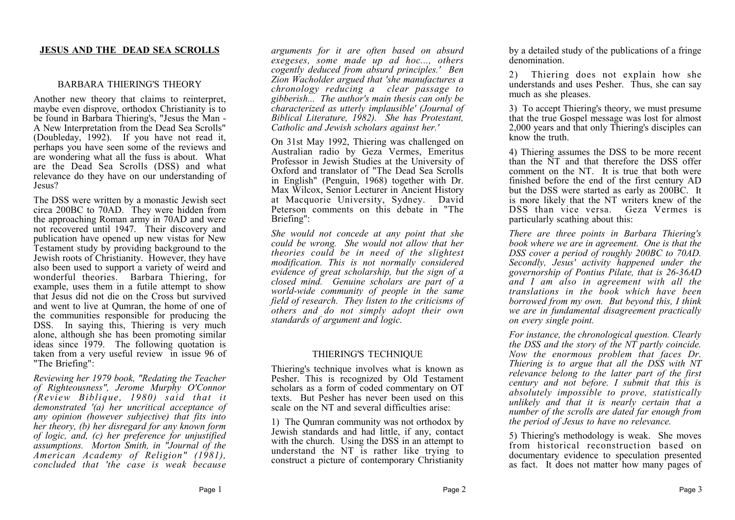### **JESUS AND THE DEAD SEA SCROLLS**

### BARBARA THIERING'S THEORY

Another new theory that claims to reinterpret, maybe even disprove, orthodox Christianity is to be found in Barbara Thiering's, "Jesus the Man - A New Interpretation from the Dead Sea Scrolls" (Doubleday, 1992). If you have not read it, perhaps you have seen some of the reviews and are wondering what all the fuss is about. What are the Dead Sea Scrolls (DSS) and what relevance do they have on our understanding of Jesus?

The DSS were written by a monastic Jewish sect circa 200BC to 70AD. They were hidden from the approaching Roman army in 70AD and were not recovered until 1947. Their discovery and publication have opened up new vistas for New Testament study by providing background to the Jewish roots of Christianity. However, they have also been used to support a variety of weird and wonderful theories. Barbara Thiering, for example, uses them in a futile attempt to show that Jesus did not die on the Cross but survived and went to live at Qumran, the home of one of the communities responsible for producing the DSS. In saying this, Thiering is very much alone, although she has been promoting similar ideas since 1979. The following quotation is taken from a very useful review in issue 96 of "The Briefing":

*Reviewing her 1979 book, "Redating the Teacher of Righteousness", Jerome Murphy O'Connor (Review Biblique, 1980) said that it demonstrated '(a) her uncritical acceptance of any opinion (however subjective) that fits into her theory, (b) her disregard for any known form of logic, and, (c) her preference for unjustified assumptions. Morton Smith, in "Journal of the American Academy of Religion" (1981), concluded that 'the case is weak because*

*arguments for it are often based on absurd exegeses, some made up ad hoc..., others cogently deduced from absurd principles.' Ben Zion Wacholder argued that 'she manufactures a chronology reducing a clear passage to gibberish... The author's main thesis can only be characterized as utterly implausible' (Journal of Biblical Literature, 1982). She has Protestant, Catholic and Jewish scholars against her.'* 

On 31st May 1992, Thiering was challenged on Australian radio by Geza Vermes, Emeritus Professor in Jewish Studies at the University of Oxford and translator of "The Dead Sea Scrolls in English" (Penguin, 1968) together with Dr. Max Wilcox, Senior Lecturer in Ancient History at Macquorie University, Sydney. David Peterson comments on this debate in "The Briefing":

*She would not concede at any point that she could be wrong. She would not allow that her theories could be in need of the slightest modification. This is not normally considered evidence of great scholarship, but the sign of a closed mind. Genuine scholars are part of a world-wide community of people in the same field of research. They listen to the criticisms of others and do not simply adopt their own standards of argument and logic.* 

#### THIERING'S TECHNIQUE

Thiering's technique involves what is known as Pesher. This is recognized by Old Testament scholars as a form of coded commentary on OT texts. But Pesher has never been used on this scale on the NT and several difficulties arise:

1) The Qumran community was not orthodox by Jewish standards and had little, if any, contact with the church. Using the DSS in an attempt to understand the NT is rather like trying to construct a picture of contemporary Christianity by a detailed study of the publications of a fringe denomination.

2) Thiering does not explain how she understands and uses Pesher. Thus, she can say much as she pleases.

3) To accept Thiering's theory, we must presume that the true Gospel message was lost for almost 2,000 years and that only Thiering's disciples can know the truth.

4) Thiering assumes the DSS to be more recent than the NT and that therefore the DSS offer comment on the NT. It is true that both were finished before the end of the first century AD but the DSS were started as early as 200BC. It is more likely that the NT writers knew of the DSS than vice versa. Geza Vermes is particularly scathing about this:

*There are three points in Barbara Thiering's book where we are in agreement. One is that the DSS cover a period of roughly 200BC to 70AD. Secondly, Jesus' activity happened under the governorship of Pontius Pilate, that is 26-36AD and I am also in agreement with all the translations in the book which have been borrowed from my own. But beyond this, I think we are in fundamental disagreement practically on every single point.* 

*For instance, the chronological question. Clearly the DSS and the story of the NT partly coincide. Now the enormous problem that faces Dr. Thiering is to argue that all the DSS with NT relevance belong to the latter part of the first century and not before. I submit that this is absolutely impossible to prove, statistically unlikely and that it is nearly certain that a number of the scrolls are dated far enough from the period of Jesus to have no relevance.* 

5) Thiering's methodology is weak. She moves from historical reconstruction based on documentary evidence to speculation presented as fact. It does not matter how many pages of